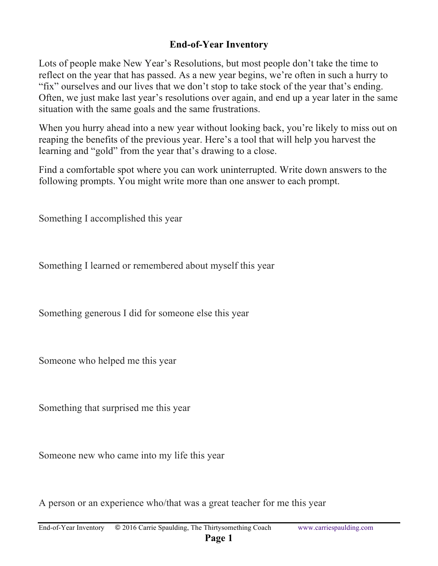## **End-of-Year Inventory**

Lots of people make New Year's Resolutions, but most people don't take the time to reflect on the year that has passed. As a new year begins, we're often in such a hurry to "fix" ourselves and our lives that we don't stop to take stock of the year that's ending. Often, we just make last year's resolutions over again, and end up a year later in the same situation with the same goals and the same frustrations.

When you hurry ahead into a new year without looking back, you're likely to miss out on reaping the benefits of the previous year. Here's a tool that will help you harvest the learning and "gold" from the year that's drawing to a close.

Find a comfortable spot where you can work uninterrupted. Write down answers to the following prompts. You might write more than one answer to each prompt.

Something I accomplished this year

Something I learned or remembered about myself this year

Something generous I did for someone else this year

Someone who helped me this year

Something that surprised me this year

Someone new who came into my life this year

A person or an experience who/that was a great teacher for me this year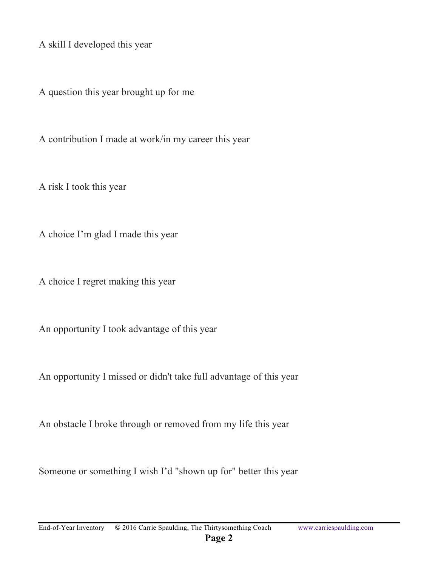A skill I developed this year

A question this year brought up for me

A contribution I made at work/in my career this year

A risk I took this year

A choice I'm glad I made this year

A choice I regret making this year

An opportunity I took advantage of this year

An opportunity I missed or didn't take full advantage of this year

An obstacle I broke through or removed from my life this year

Someone or something I wish I'd "shown up for" better this year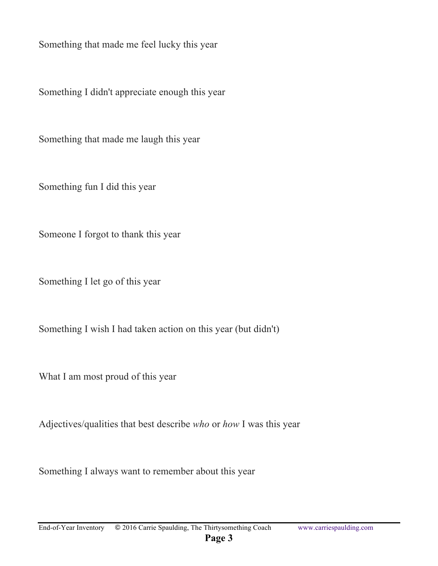Something that made me feel lucky this year

Something I didn't appreciate enough this year

Something that made me laugh this year

Something fun I did this year

Someone I forgot to thank this year

Something I let go of this year

Something I wish I had taken action on this year (but didn't)

What I am most proud of this year

Adjectives/qualities that best describe *who* or *how* I was this year

Something I always want to remember about this year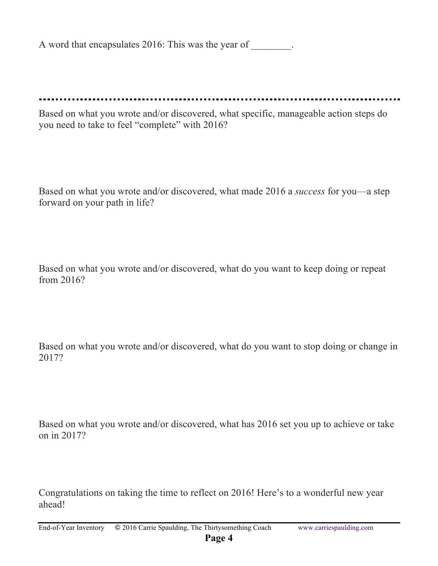A word that encapsulates 2016: This was the year of  $\qquad \qquad$ .

Based on what you wrote and/or discovered, what specific, manageable action steps do you need to take to feel "complete" with 2016?

Based on what you wrote and/or discovered, what made 2016 a *success* for you—a step forward on your path in life?

Based on what you wrote and/or discovered, what do you want to keep doing or repeat from 2016?

Based on what you wrote and/or discovered, what do you want to stop doing or change in 2017?

Based on what you wrote and/or discovered, what has 2016 set you up to achieve or take on in 2017?

Congratulations on taking the time to reflect on 2016! Here's to a wonderful new year ahead!